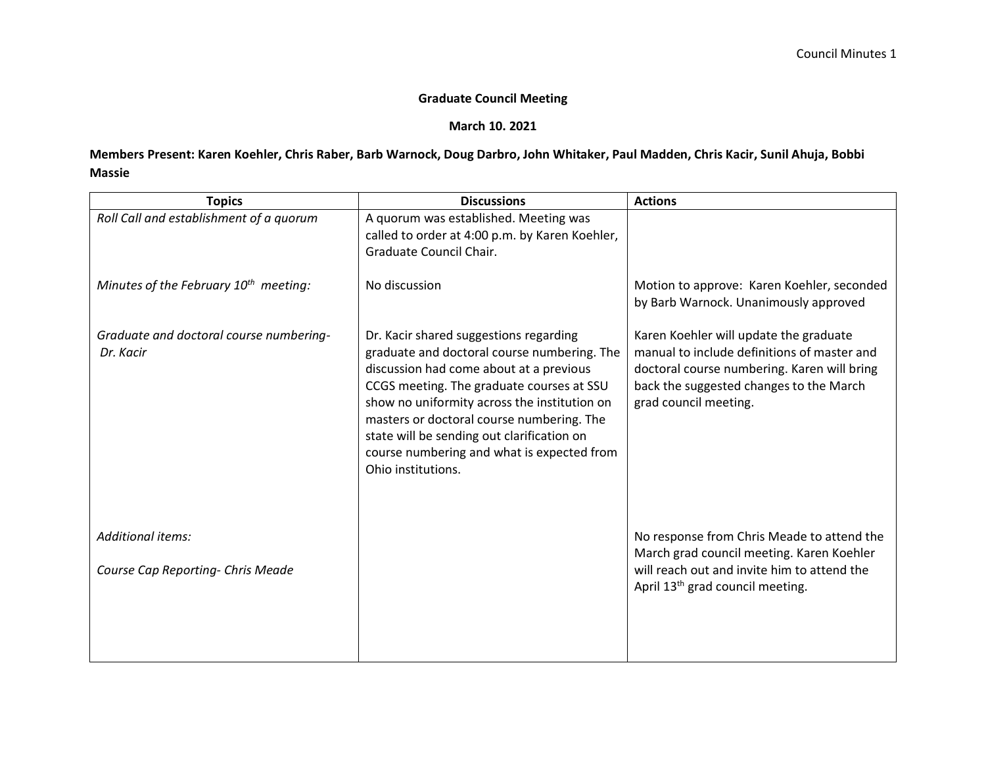## **Graduate Council Meeting**

## **March 10. 2021**

## **Members Present: Karen Koehler, Chris Raber, Barb Warnock, Doug Darbro, John Whitaker, Paul Madden, Chris Kacir, Sunil Ahuja, Bobbi Massie**

| <b>Topics</b>                                          | <b>Discussions</b>                                                                                                                                                                                                                                                                                                                                                                           | <b>Actions</b>                                                                                                                                                                                           |
|--------------------------------------------------------|----------------------------------------------------------------------------------------------------------------------------------------------------------------------------------------------------------------------------------------------------------------------------------------------------------------------------------------------------------------------------------------------|----------------------------------------------------------------------------------------------------------------------------------------------------------------------------------------------------------|
| Roll Call and establishment of a quorum                | A quorum was established. Meeting was<br>called to order at 4:00 p.m. by Karen Koehler,<br>Graduate Council Chair.                                                                                                                                                                                                                                                                           |                                                                                                                                                                                                          |
| Minutes of the February 10 <sup>th</sup> meeting:      | No discussion                                                                                                                                                                                                                                                                                                                                                                                | Motion to approve: Karen Koehler, seconded<br>by Barb Warnock. Unanimously approved                                                                                                                      |
| Graduate and doctoral course numbering-<br>Dr. Kacir   | Dr. Kacir shared suggestions regarding<br>graduate and doctoral course numbering. The<br>discussion had come about at a previous<br>CCGS meeting. The graduate courses at SSU<br>show no uniformity across the institution on<br>masters or doctoral course numbering. The<br>state will be sending out clarification on<br>course numbering and what is expected from<br>Ohio institutions. | Karen Koehler will update the graduate<br>manual to include definitions of master and<br>doctoral course numbering. Karen will bring<br>back the suggested changes to the March<br>grad council meeting. |
| Additional items:<br>Course Cap Reporting- Chris Meade |                                                                                                                                                                                                                                                                                                                                                                                              | No response from Chris Meade to attend the<br>March grad council meeting. Karen Koehler<br>will reach out and invite him to attend the<br>April 13 <sup>th</sup> grad council meeting.                   |